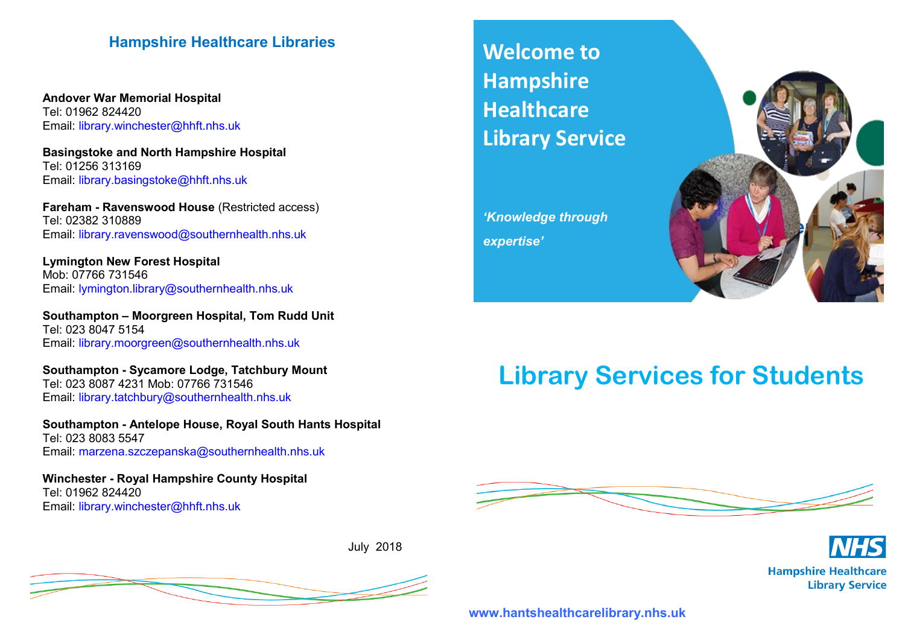## **Hampshire Healthcare Libraries**

**Andover War Memorial Hospital** Tel: 01962 824420 Email: library.winchester@hhft.nhs.uk

**Basingstoke and North Hampshire Hospital** Tel: 01256 313169 Email: library.basingstoke@hhft.nhs.uk

**Fareham - Ravenswood House** (Restricted access) Tel: 02382 310889 Email: library.ravenswood@southernhealth.nhs.uk

**Lymington New Forest Hospital** Mob: 07766 731546 Email: lymington.library@southernhealth.nhs.uk

**Southampton – Moorgreen Hospital, Tom Rudd Unit** Tel: 023 8047 5154 Email: library.moorgreen@southernhealth.nhs.uk

**Southampton - Sycamore Lodge, Tatchbury Mount** Tel: 023 8087 4231 Mob: 07766 731546 Email: library.tatchbury@southernhealth.nhs.uk

**Southampton - Antelope House, Royal South Hants Hospital** Tel: 023 8083 5547 Email: marzena.szczepanska@southernhealth.nhs.uk

**Winchester - Royal Hampshire County Hospital** Tel: 01962 824420 Email: library.winchester@hhft.nhs.uk

July 2018



**Welcome to Hampshire Healthcare Library Service**

*'Knowledge through expertise'*



# **Library Services for Students**





**www.hantshealthcarelibrary.nhs.uk**